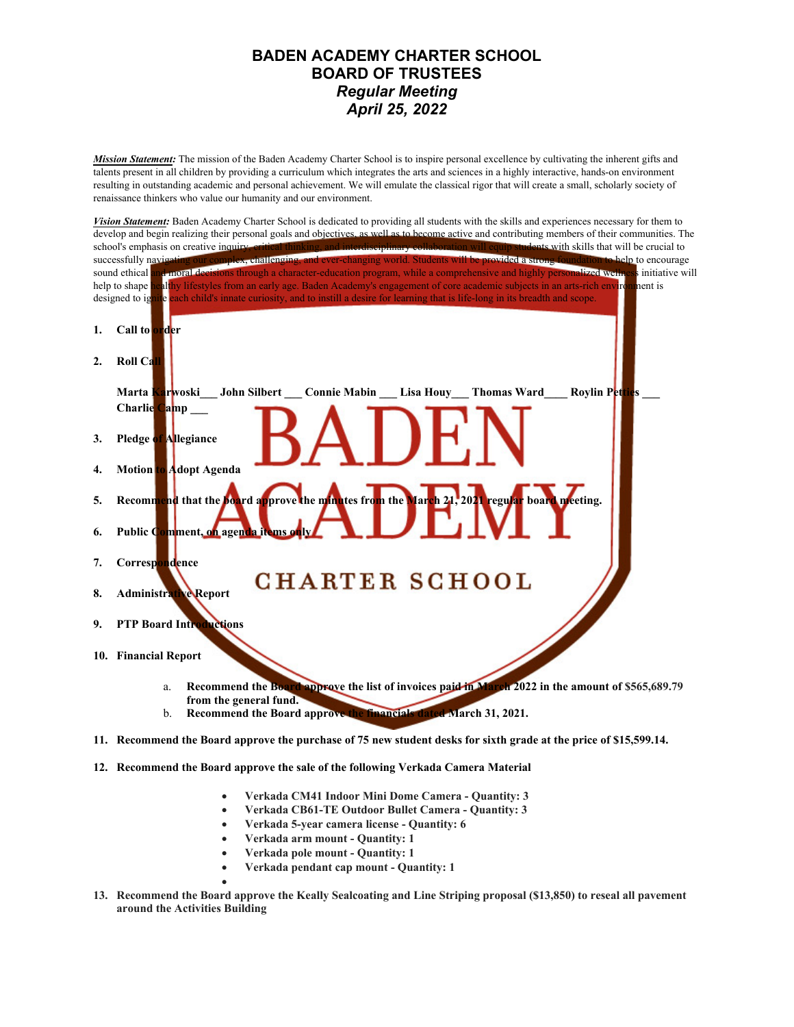## **BADEN ACADEMY CHARTER SCHOOL BOARD OF TRUSTEES** *Regular Meeting April 25, 2022*

*Mission Statement:* The mission of the Baden Academy Charter School is to inspire personal excellence by cultivating the inherent gifts and talents present in all children by providing a curriculum which integrates the arts and sciences in a highly interactive, hands-on environment resulting in outstanding academic and personal achievement. We will emulate the classical rigor that will create a small, scholarly society of renaissance thinkers who value our humanity and our environment.



- **Verkada CM41 Indoor Mini Dome Camera Quantity: 3**
- **Verkada CB61-TE Outdoor Bullet Camera Quantity: 3**
- **Verkada 5-year camera license Quantity: 6**
- **Verkada arm mount Quantity: 1**
- **Verkada pole mount Quantity: 1**
- **Verkada pendant cap mount Quantity: 1**
- $\bullet$  and  $\bullet$  and  $\bullet$  and  $\bullet$ **13. Recommend the Board approve the Keally Sealcoating and Line Striping proposal (\$13,850) to reseal all pavement around the Activities Building**